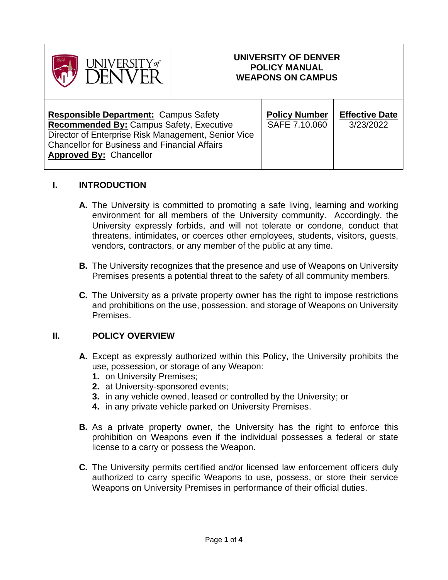

### **UNIVERSITY OF DENVER POLICY MANUAL WEAPONS ON CAMPUS**

Τ

### **I. INTRODUCTION**

- **A.** The University is committed to promoting a safe living, learning and working environment for all members of the University community. Accordingly, the University expressly forbids, and will not tolerate or condone, conduct that threatens, intimidates, or coerces other employees, students, visitors, guests, vendors, contractors, or any member of the public at any time.
- **B.** The University recognizes that the presence and use of Weapons on University Premises presents a potential threat to the safety of all community members.
- **C.** The University as a private property owner has the right to impose restrictions and prohibitions on the use, possession, and storage of Weapons on University Premises.

# **II. POLICY OVERVIEW**

- **A.** Except as expressly authorized within this Policy, the University prohibits the use, possession, or storage of any Weapon:
	- **1.** on University Premises;
	- **2.** at University-sponsored events;
	- **3.** in any vehicle owned, leased or controlled by the University; or
	- **4.** in any private vehicle parked on University Premises.
- **B.** As a private property owner, the University has the right to enforce this prohibition on Weapons even if the individual possesses a federal or state license to a carry or possess the Weapon.
- **C.** The University permits certified and/or licensed law enforcement officers duly authorized to carry specific Weapons to use, possess, or store their service Weapons on University Premises in performance of their official duties.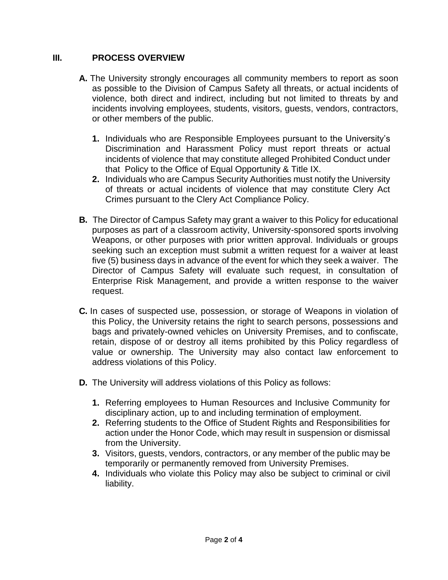## **III. PROCESS OVERVIEW**

- **A.** The University strongly encourages all community members to report as soon as possible to the Division of Campus Safety all threats, or actual incidents of violence, both direct and indirect, including but not limited to threats by and incidents involving employees, students, visitors, guests, vendors, contractors, or other members of the public.
	- **1.** Individuals who are Responsible Employees pursuant to the University's Discrimination and Harassment Policy must report threats or actual incidents of violence that may constitute alleged Prohibited Conduct under that Policy to the Office of Equal Opportunity & Title IX.
	- **2.** Individuals who are Campus Security Authorities must notify the University of threats or actual incidents of violence that may constitute Clery Act Crimes pursuant to the Clery Act Compliance Policy.
- **B.** The Director of Campus Safety may grant a waiver to this Policy for educational purposes as part of a classroom activity, University-sponsored sports involving Weapons, or other purposes with prior written approval. Individuals or groups seeking such an exception must submit a written request for a waiver at least five (5) business days in advance of the event for which they seek a waiver. The Director of Campus Safety will evaluate such request, in consultation of Enterprise Risk Management, and provide a written response to the waiver request.
- **C.** In cases of suspected use, possession, or storage of Weapons in violation of this Policy, the University retains the right to search persons, possessions and bags and privately-owned vehicles on University Premises, and to confiscate, retain, dispose of or destroy all items prohibited by this Policy regardless of value or ownership. The University may also contact law enforcement to address violations of this Policy.
- **D.** The University will address violations of this Policy as follows:
	- **1.** Referring employees to Human Resources and Inclusive Community for disciplinary action, up to and including termination of employment.
	- **2.** Referring students to the Office of Student Rights and Responsibilities for action under the Honor Code, which may result in suspension or dismissal from the University.
	- **3.** Visitors, guests, vendors, contractors, or any member of the public may be temporarily or permanently removed from University Premises.
	- **4.** Individuals who violate this Policy may also be subject to criminal or civil liability.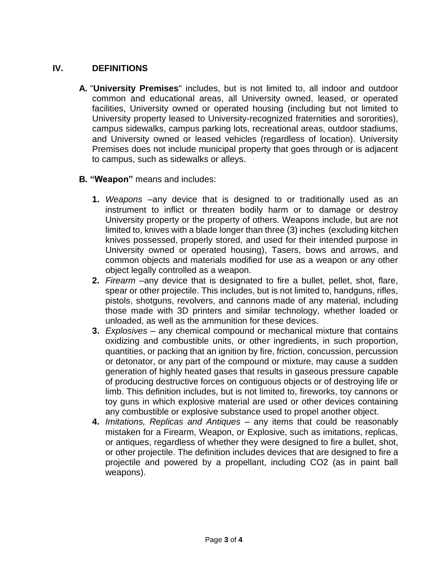# **IV. DEFINITIONS**

- **A.** "**University Premises**" includes, but is not limited to, all indoor and outdoor common and educational areas, all University owned, leased, or operated facilities, University owned or operated housing (including but not limited to University property leased to University-recognized fraternities and sororities), campus sidewalks, campus parking lots, recreational areas, outdoor stadiums, and University owned or leased vehicles (regardless of location). University Premises does not include municipal property that goes through or is adjacent to campus, such as sidewalks or alleys.
- **B. "Weapon"** means and includes:
	- **1.** *Weapons* –any device that is designed to or traditionally used as an instrument to inflict or threaten bodily harm or to damage or destroy University property or the property of others. Weapons include, but are not limited to, knives with a blade longer than three (3) inches (excluding kitchen knives possessed, properly stored, and used for their intended purpose in University owned or operated housing), Tasers, bows and arrows, and common objects and materials modified for use as a weapon or any other object legally controlled as a weapon.
	- **2.** *Firearm* –any device that is designated to fire a bullet, pellet, shot, flare, spear or other projectile. This includes, but is not limited to, handguns, rifles, pistols, shotguns, revolvers, and cannons made of any material, including those made with 3D printers and similar technology, whether loaded or unloaded, as well as the ammunition for these devices.
	- **3.** *Explosives* any chemical compound or mechanical mixture that contains oxidizing and combustible units, or other ingredients, in such proportion, quantities, or packing that an ignition by fire, friction, concussion, percussion or detonator, or any part of the compound or mixture, may cause a sudden generation of highly heated gases that results in gaseous pressure capable of producing destructive forces on contiguous objects or of destroying life or limb. This definition includes, but is not limited to, fireworks, toy cannons or toy guns in which explosive material are used or other devices containing any combustible or explosive substance used to propel another object.
	- **4.** *Imitations, Replicas and Antiques* any items that could be reasonably mistaken for a Firearm, Weapon, or Explosive, such as imitations, replicas, or antiques, regardless of whether they were designed to fire a bullet, shot, or other projectile. The definition includes devices that are designed to fire a projectile and powered by a propellant, including CO2 (as in paint ball weapons).